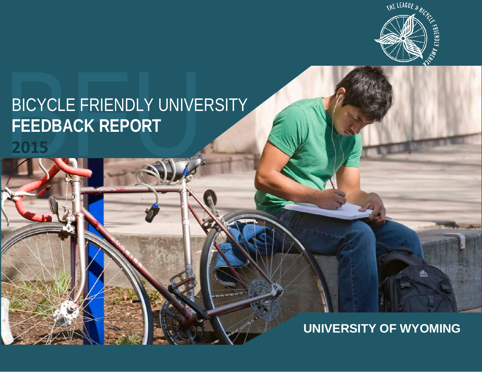

# BICYCLE FRIENDLY UNIVERSITY<br>FEEDBACK REPORT<br>2015 **FEEDBACK REPORT**

## **UNIVERSITY OF WYOMING**

艷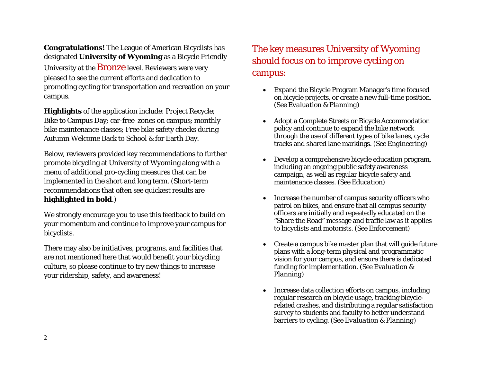**Congratulations!** The League of American Bicyclists has designated **University of Wyoming** as a Bicycle Friendly University at the **Bronze** level. Reviewers were very pleased to see the current efforts and dedication to promoting cycling for transportation and recreation on your campus.

**Highlights** of the application include: Project Recycle; Bike to Campus Day; car-free zones on campus; monthly bike maintenance classes; Free bike safety checks during Autumn Welcome Back to School & for Earth Day.

Below, reviewers provided key recommendations to further promote bicycling at University of Wyoming along with a menu of additional pro-cycling measures that can be implemented in the short and long term*.* (Short-term recommendations that often see quickest results are **highlighted in bold**.)

We strongly encourage you to use this feedback to build on your momentum and continue to improve your campus for bicyclists.

There may also be initiatives, programs, and facilities that are not mentioned here that would benefit your bicycling culture, so please continue to try new things to increase your ridership, safety, and awareness!

#### The key measures University of Wyoming should focus on to improve cycling on campus:

- Expand the Bicycle Program Manager's time focused on bicycle projects, or create a new full-time position. *(See Evaluation & Planning)*
- Adopt a Complete Streets or Bicycle Accommodation policy and continue to expand the bike network through the use of different types of bike lanes, cycle tracks and shared lane markings. *(See Engineering)*
- Develop a comprehensive bicycle education program, including an ongoing public safety awareness campaign, as well as regular bicycle safety and maintenance classes. *(See Education)*
- Increase the number of campus security officers who patrol on bikes, and ensure that all campus security officers are initially and repeatedly educated on the "Share the Road" message and traffic law as it applies to bicyclists and motorists. *(See Enforcement)*
- Create a campus bike master plan that will guide future plans with a long-term physical and programmatic vision for your campus, and ensure there is dedicated funding for implementation. *(See Evaluation & Planning)*
- Increase data collection efforts on campus, including regular research on bicycle usage, tracking bicyclerelated crashes, and distributing a regular satisfaction survey to students and faculty to better understand barriers to cycling. *(See Evaluation & Planning)*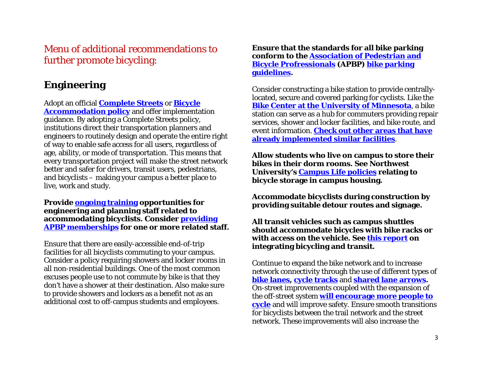Menu of additional recommendations to further promote bicycling:

#### **Engineering**

Adopt an official **[Complete Streets](http://www.completestreets.org/)** or **[Bicycle](http://green.olemiss.edu/bicycle-pedestrian-accommodation-policy/)  [Accommodation policy](http://green.olemiss.edu/bicycle-pedestrian-accommodation-policy/)** and offer implementation guidance. By adopting a Complete Streets policy, institutions direct their transportation planners and engineers to routinely design and operate the entire right of way to enable safe access for all users, regardless of age, ability, or mode of transportation. This means that every transportation project will make the street network better and safer for drivers, transit users, pedestrians, and bicyclists – making your campus a better place to live, work and study.

**Provide [ongoing training](http://www.nhi.fhwa.dot.gov/training/course_search.aspx?tab=0&key=bicycle142046&course_no=142046&res=1) opportunities for engineering and planning staff related to accommodating bicyclists. Consider [providing](http://www.apbp.org/)  [APBP memberships](http://www.apbp.org/) for one or more related staff.**

Ensure that there are easily-accessible end-of-trip facilities for all bicyclists commuting to your campus. Consider a policy requiring showers and locker rooms in all non-residential buildings. One of the most common excuses people use to not commute by bike is that they don't have a shower at their destination. Also make sure to provide showers and lockers as a benefit not as an additional cost to off-campus students and employees.

**Ensure that the standards for all bike parking conform to the [Association of Pedestrian and](http://www.apbp.org/)  [Bicycle Profressionals](http://www.apbp.org/) (APBP) [bike parking](http://www.apbp.org/?page=Publications)  [guidelines.](http://www.apbp.org/?page=Publications)**

Consider constructing a bike station to provide centrallylocated, secure and covered parking for cyclists. Like the **[Bike Center at the University of Minnesota](http://www1.umn.edu/pts/bikers/bikecenter.html)**, a bike station can serve as a hub for commuters providing repair services, shower and locker facilities, and bike route, and event information. **[Check out other areas that have](http://home.bikestation.com/locations)  [already implemented similar facilities](http://home.bikestation.com/locations)**.

**Allow students who live on campus to store their bikes in their dorm rooms. See Northwest University's [Campus Life policies](http://eagle.northwestu.edu/departments/student-handbook/campus-life/) relating to bicycle storage in campus housing.** 

**Accommodate bicyclists during construction by providing suitable detour routes and signage.**

**All transit vehicles such as campus shuttles should accommodate bicycles with bike racks or with access on the vehicle. See [this report](http://www.nctr.usf.edu/jpt/pdf/JPT12-3Pucher.pdf) on integrating bicycling and transit.**

Continue to expand the bike network and to increase network connectivity through the use of different types of **[bike lanes,](http://nacto.org/cities-for-cycling/design-guide/bike-lanes/) [cycle tracks](http://nacto.org/cities-for-cycling/design-guide/cycle-tracks/)** and **[shared lane arrows.](http://nacto.org/cities-for-cycling/design-guide/bikeway-signing-marking/shared-lane-marking/)** On-street improvements coupled with the expansion of the off-street system **[will encourage more people to](http://www.springerlink.com/content/n822p50241p66113/)  [cycle](http://www.springerlink.com/content/n822p50241p66113/)** and will improve safety. Ensure smooth transitions for bicyclists between the trail network and the street network. These improvements will also increase the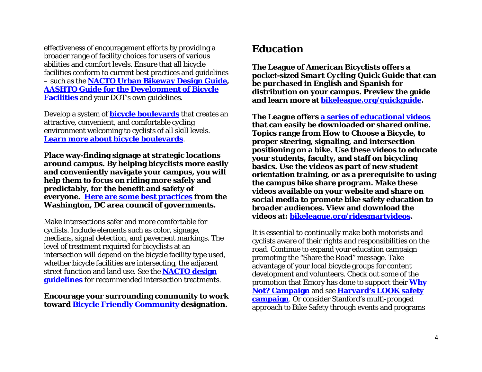effectiveness of encouragement efforts by providing a broader range of facility choices for users of various abilities and comfort levels. Ensure that all bicycle facilities conform to current best practices and guidelines – such as the **[NACTO Urban Bikeway Design Guide,](http://nacto.org/cities-for-cycling/design-guide/) [AASHTO Guide for the Development of Bicycle](https://bookstore.transportation.org/item_details.aspx?ID=1943)  [Facilities](https://bookstore.transportation.org/item_details.aspx?ID=1943)** and your DOT's own guidelines.

Develop a system of **[bicycle boulevards](https://en.wikipedia.org/wiki/Bicycle_boulevard)** that creates an attractive, convenient, and comfortable cycling environment welcoming to cyclists of all skill levels. **[Learn more about bicycle boulevards](http://nacto.org/publication/urban-bikeway-design-guide/bicycle-boulevards/)**.

**Place way-finding signage at strategic locations around campus. By helping bicyclists more easily and conveniently navigate your campus, you will help them to focus on riding more safely and predictably, for the benefit and safety of everyone. [Here are some best practices](http://www.mwcog.org/uploads/committee-documents/t1dZW1k20070516090831.pdf) from the Washington, DC area council of governments.**

Make intersections safer and more comfortable for cyclists. Include elements such as color, signage, medians, signal detection, and pavement markings. The level of treatment required for bicyclists at an intersection will depend on the bicycle facility type used, whether bicycle facilities are intersecting, the adjacent street function and land use. See the **[NACTO design](http://nacto.org/cities-for-cycling/design-guide/intersection-treatments/)  [guidelines](http://nacto.org/cities-for-cycling/design-guide/intersection-treatments/)** for recommended intersection treatments.

**Encourage your surrounding community to work toward [Bicycle Friendly Community](http://bikeleague.org/community) designation.** 

### **Education**

**The League of American Bicyclists offers a pocket-sized** *Smart Cycling Quick Guide* **that can be purchased in English and Spanish for distribution on your campus. Preview the guide and learn more at [bikeleague.org/quickguide.](http://bikeleague.org/quickguide)** 

**The League offers [a series of educational videos](http://bikeleague.org/ridesmartvideos) that can easily be downloaded or shared online. Topics range from How to Choose a Bicycle, to proper steering, signaling, and intersection positioning on a bike. Use these videos to educate your students, faculty, and staff on bicycling basics. Use the videos as part of new student orientation training, or as a prerequisite to using the campus bike share program. Make these videos available on your website and share on social media to promote bike safety education to broader audiences. View and download the videos at: [bikeleague.org/ridesmartvideos.](http://bikeleague.org/ridesmartvideos)** 

It is essential to continually make both motorists and cyclists aware of their rights and responsibilities on the road. Continue to expand your education campaign promoting the "Share the Road" message. Take advantage of your local bicycle groups for content development and volunteers. Check out some of the promotion that Emory has done to support their **[Why](http://bikeleague.org/sites/default/files/BFU_Bike_Emory_Marketing_Items.pdf)  [Not? Campaign](http://bikeleague.org/sites/default/files/BFU_Bike_Emory_Marketing_Items.pdf)** and see **[Harvard's LOOK safety](http://www.transportation.harvard.edu/commuterchoice/bike/look-safety-campaign)  [campaign](http://www.transportation.harvard.edu/commuterchoice/bike/look-safety-campaign)**. Or consider Stanford's multi-pronged approach to Bike Safety through events and programs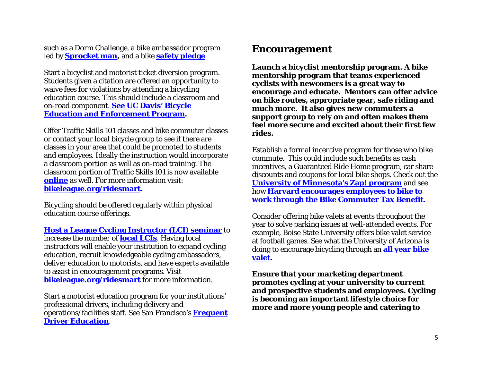such as a Dorm Challenge, a bike ambassador program led by **[Sprocket man,](http://transportation.stanford.edu/alt_transportation/Sprocketman.shtml)** and a bike **[safety pledge](https://transportation.stanford.edu/bikesafetypledge/)**.

Start a bicyclist and motorist ticket diversion program. Students given a citation are offered an opportunity to waive fees for violations by attending a bicycling education course. This should include a classroom and on-road component. **[See UC Davis' Bicycle](https://secure.taps.ucdavis.edu/beep/)  [Education and Enforcement Program.](https://secure.taps.ucdavis.edu/beep/)** 

Offer Traffic Skills 101 classes and bike commuter classes or contact your local bicycle group to see if there are classes in your area that could be promoted to students and employees. Ideally the instruction would incorporate a classroom portion as well as on-road training. The classroom portion of Traffic Skills 101 is now available **[online](http://bikeed.org/default.aspx)** as well. For more information visit: **[bikeleague.org/ridesmart.](http://www.bikeleague.org/ridesmart)**

Bicycling should be offered regularly within physical education course offerings.

**[Host a League Cycling Instructor \(LCI\) seminar](http://bikeleague.org/sites/default/files/LCI_seminar_organizer_FAQs.pdf)** to

increase the number of **[local LCIs](http://bikeleague.org/content/become-instructor)**. Having local instructors will enable your institution to expand cycling education, recruit knowledgeable cycling ambassadors, deliver education to motorists, and have experts available to assist in encouragement programs. Visit **[bikeleague.org/ridesmart](http://www.bikeleague.org/ridesmart)** for more information.

Start a motorist education program for your institutions' professional drivers, including delivery and operations/facilities staff. See San Francisco's **[Frequent](http://www.sfbike.org/our-work/safety-education/driver-education/)  [Driver Education](http://www.sfbike.org/our-work/safety-education/driver-education/)**.

#### **Encouragement**

**Launch a bicyclist mentorship program. A bike mentorship program that teams experienced cyclists with newcomers is a great way to encourage and educate. Mentors can offer advice on bike routes, appropriate gear, safe riding and much more. It also gives new commuters a support group to rely on and often makes them feel more secure and excited about their first few rides.**

Establish a formal incentive program for those who bike commute. This could include such benefits as cash incentives, a Guaranteed Ride Home program, car share discounts and coupons for local bike shops. Check out the **[University of Minnesota's Zap! program](http://www1.umn.edu/pts/bike/bikeRFID.html)** and see how **[Harvard encourages employees to bike to](http://www.transportation.harvard.edu/commuterchoice/bike/bike-commuter-benefit)  [work through the Bike Commuter Tax Benefit.](http://www.transportation.harvard.edu/commuterchoice/bike/bike-commuter-benefit)**

Consider offering bike valets at events throughout the year to solve parking issues at well-attended events. For example, Boise State University offers bike valet service at football games. See what the University of Arizona is doing to encourage bicycling through an **[all year bike](https://parking.arizona.edu/bikevalet/)  [valet.](https://parking.arizona.edu/bikevalet/)** 

**Ensure that your marketing department promotes cycling at your university to current and prospective students and employees. Cycling is becoming an important lifestyle choice for more and more young people and catering to**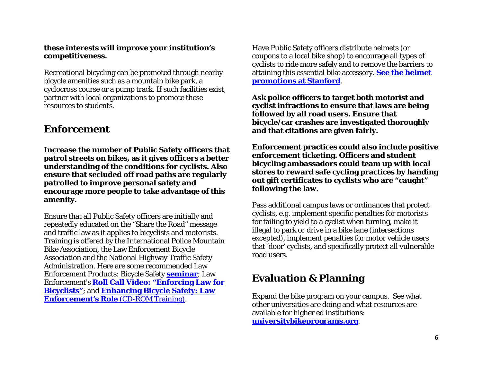#### **these interests will improve your institution's competitiveness.**

Recreational bicycling can be promoted through nearby bicycle amenities such as a mountain bike park, a cyclocross course or a pump track. If such facilities exist, partner with local organizations to promote these resources to students.

#### **Enforcement**

**Increase the number of Public Safety officers that patrol streets on bikes, as it gives officers a better understanding of the conditions for cyclists. Also ensure that secluded off road paths are regularly patrolled to improve personal safety and encourage more people to take advantage of this amenity.**

Ensure that all Public Safety officers are initially and repeatedly educated on the "Share the Road" message and traffic law as it applies to bicyclists and motorists. Training is offered by the International Police Mountain Bike Association, the Law Enforcement Bicycle Association and the National Highway Traffic Safety Administration. Here are some recommended Law Enforcement Products: Bicycle Safety **[seminar](http://pedbikesafe.org/bikesafe/casestudies_detail.cfm?CS_NUM=713&op=C&CM_NUM=40&subop=h)**; Law Enforcement's **[Roll Call Video: "Enforcing Law for](http://www.nhtsa.gov/Driving+Safety/Bicycles/Enhancing+Bicycle+Safety:+Law+Enforcement%27s+Role)  [Bicyclists"](http://www.nhtsa.gov/Driving+Safety/Bicycles/Enhancing+Bicycle+Safety:+Law+Enforcement%27s+Role)**; and **[Enhancing Bicycle Safety: Law](http://www.nhtsa.gov/Driving+Safety/Bicycles/Enhancing+Bicycle+Safety:+Law+Enforcement%27s+Role)  [Enforcement's Role](http://www.nhtsa.gov/Driving+Safety/Bicycles/Enhancing+Bicycle+Safety:+Law+Enforcement%27s+Role)** (CD-ROM Training).

Have Public Safety officers distribute helmets (or coupons to a local bike shop) to encourage all types of cyclists to ride more safely and to remove the barriers to attaining this essential bike accessory. **[See the helmet](http://transportation.stanford.edu/alt_transportation/BikeSafetyEd.shtml#helmet)  [promotions](http://transportation.stanford.edu/alt_transportation/BikeSafetyEd.shtml#helmet) at Stanford**.

**Ask police officers to target both motorist and cyclist infractions to ensure that laws are being followed by all road users. Ensure that bicycle/car crashes are investigated thoroughly and that citations are given fairly.** 

**Enforcement practices could also include positive enforcement ticketing. Officers and student bicycling ambassadors could team up with local stores to reward safe cycling practices by handing out gift certificates to cyclists who are "caught" following the law.** 

Pass additional campus laws or ordinances that protect cyclists, e.g. implement specific penalties for motorists for failing to yield to a cyclist when turning, make it illegal to park or drive in a bike lane (intersections excepted), implement penalties for motor vehicle users that 'door' cyclists, and specifically protect all vulnerable road users.

#### **Evaluation & Planning**

Expand the bike program on your campus. See what other universities are doing and what resources are available for higher ed institutions: **[universitybikeprograms.org](http://www.universitybikeprograms.org/)**.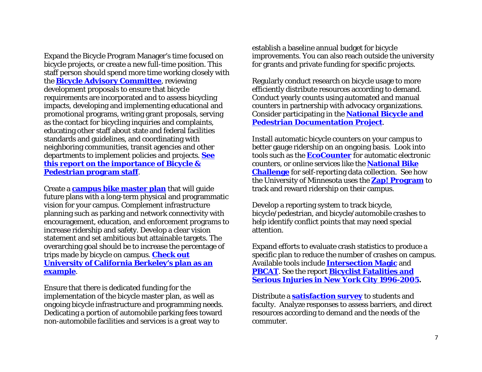Expand the Bicycle Program Manager's time focused on bicycle projects, or create a new full-time position. This staff person should spend more time working closely with the **[Bicycle Advisory Committee](http://massbike.org/wp-content/uploads/2009/09/BACGuideFinal.pdf)**, reviewing development proposals to ensure that bicycle requirements are incorporated and to assess bicycling impacts, developing and implementing educational and promotional programs, writing grant proposals, serving as the contact for bicycling inquiries and complaints, educating other staff about state and federal facilities standards and guidelines, and coordinating with neighboring communities, transit agencies and other departments to implement policies and projects. **[See](http://www.advocacyadvance.org/site_images/content/why_bike_ped_staff_april_2010.pdf)  [this report on the importance of Bicycle &](http://www.advocacyadvance.org/site_images/content/why_bike_ped_staff_april_2010.pdf)  [Pedestrian program staff](http://www.advocacyadvance.org/site_images/content/why_bike_ped_staff_april_2010.pdf)**.

Create a **[campus bike master plan](http://www.bikewalk.org/pdfs/BMP_RoadMap.pdf)** that will guide future plans with a long-term physical and programmatic vision for your campus. Complement infrastructure planning such as parking and network connectivity with encouragement, education, and enforcement programs to increase ridership and safety. Develop a clear vision statement and set ambitious but attainable targets. The overarching goal should be to increase the percentage of trips made by bicycle on campus. **[Check out](http://pt.berkeley.edu/sites/pt.berkeley.edu/files/content/UCB_BikePlanFinal.pdf)  [University of California Berkeley's plan as an](http://pt.berkeley.edu/sites/pt.berkeley.edu/files/content/UCB_BikePlanFinal.pdf)  [example](http://pt.berkeley.edu/sites/pt.berkeley.edu/files/content/UCB_BikePlanFinal.pdf)**.

Ensure that there is dedicated funding for the implementation of the bicycle master plan, as well as ongoing bicycle infrastructure and programming needs. Dedicating a portion of automobile parking fees toward non-automobile facilities and services is a great way to

establish a baseline annual budget for bicycle improvements. You can also reach outside the university for grants and private funding for specific projects.

Regularly conduct research on bicycle usage to more efficiently distribute resources according to demand. Conduct yearly counts using automated and manual counters in partnership with advocacy organizations. Consider participating in the **[National Bicycle and](http://bikepeddocumentation.org/)  [Pedestrian Documentation Project](http://bikepeddocumentation.org/)**.

Install automatic bicycle counters on your campus to better gauge ridership on an ongoing basis. Look into tools such as the **[EcoCounter](http://www.eco-compteur.com/en/)** for automatic electronic counters, or online services like the **National Bike Challenge** for self-reporting data collection. See how the University of Minnesota uses the **[Zap! Program](http://www1.umn.edu/pts/bike/bikeRFID.html)** to track and reward ridership on their campus.

Develop a reporting system to track bicycle, bicycle/pedestrian, and bicycle/automobile crashes to help identify conflict points that may need special attention.

Expand efforts to evaluate crash statistics to produce a specific plan to reduce the number of crashes on campus. Available tools include **[Intersection Magic](http://www.pdmagic.com/im/)** and **[PBCAT](http://www.pedbikeinfo.org/pbcat_us/)**. See the report **[Bicyclist Fatalities and](http://www.industrializedcyclist.com/nycreport.pdf)  [Serious Injuries in New York City 1996-2005.](http://www.industrializedcyclist.com/nycreport.pdf)**

Distribute a **[satisfaction survey](http://www.chem.uky.edu/bikes/PDFs/TooleSurvey.pdf)** to students and faculty. Analyze responses to assess barriers, and direct resources according to demand and the needs of the commuter.